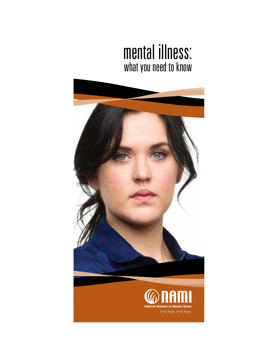# mental illness: what you need to know

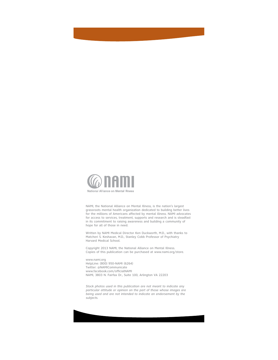

NAMI, the National Alliance on Mental Illness, is the nation's largest grassroots mental health organization dedicated to building better lives for the millions of Americans affected by mental illness. NAMI advocates for access to services, treatment, supports and research and is steadfast in its commitment to raising awareness and building a community of hope for all of those in need.

Written by NAMI Medical Director Ken Duckworth, M.D., with thanks to Matcheri S. Keshavan, M.D., Stanley Cobb Professor of Psychiatry Harvard Medical School.

Copyright 2013 NAMI, the National Alliance on Mental Illness. Copies of this publication can be purchased at www.nami.org/store.

www.nami.org HelpLine: (800) 950-NAMI (6264) Twitter: @NAMICommunicate www.facebook.com/officialNAMI NAMI, 3803 N. Fairfax Dr., Suite 100, Arlington VA 22203

*Stock photos used in this publication are not meant to indicate any particular attitude or opinion on the part of those whose images are being used and are not intended to indicate an endorsement by the subjects.*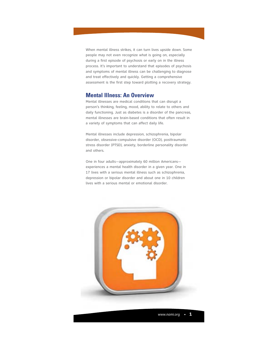When mental illness strikes, it can turn lives upside down. Some people may not even recognize what is going on, especially during a first episode of psychosis or early on in the illness process. It's important to understand that episodes of psychosis and symptoms of mental illness can be challenging to diagnose and treat effectively and quickly. Getting a comprehensive assessment is the first step toward plotting a recovery strategy.

# **Mental Illness: An Overview**

Mental illnesses are medical conditions that can disrupt a person's thinking, feeling, mood, ability to relate to others and daily functioning. Just as diabetes is a disorder of the pancreas, mental illnesses are brain-based conditions that often result in a variety of symptoms that can affect daily life.

Mental illnesses include depression, schizophrenia, bipolar disorder, obsessive-compulsive disorder (OCD), posttraumatic stress disorder (PTSD), anxiety, borderline personality disorder and others.

One in four adults—approximately 60 million Americans experiences a mental health disorder in a given year. One in 17 lives with a serious mental illness such as schizophrenia, depression or bipolar disorder and about one in 10 children lives with a serious mental or emotional disorder.

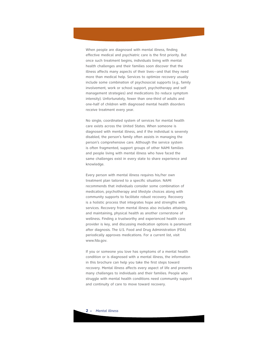When people are diagnosed with mental illness, finding effective medical and psychiatric care is the first priority. But once such treatment begins, individuals living with mental health challenges and their families soon discover that the illness affects many aspects of their lives—and that they need more than medical help. Services to optimize recovery usually include some combination of psychosocial supports (*e.g.,* family involvement, work or school support, psychotherapy and self management strategies) and medications (to reduce symptom intensity). Unfortunately, fewer than one-third of adults and one-half of children with diagnosed mental health disorders receive treatment every year.

No single, coordinated system of services for mental health care exists across the United States. When someone is diagnosed with mental illness, and if the individual is severely disabled, the person's family often assists in managing the person's comprehensive care. Although the service system is often fragmented, support groups of other NAMI families and people living with mental illness who have faced the same challenges exist in every state to share experience and knowledge.

Every person with mental illness requires his/her own treatment plan tailored to a specific situation. NAMI recommends that individuals consider some combination of medication, psychotherapy and lifestyle choices along with community supports to facilitate robust recovery. Recovery is a holistic process that integrates hope and strengths with services. Recovery from mental illness also includes attaining, and maintaining, physical health as another cornerstone of wellness. Finding a trustworthy and experienced health care provider is key, and discussing medication options is paramount after diagnosis. The U.S. Food and Drug Administration (FDA) periodically approves medications. For a current list, visit www.fda.gov.

If you or someone you love has symptoms of a mental health condition or is diagnosed with a mental illness, the information in this brochure can help you take the first steps toward recovery. Mental illness affects every aspect of life and presents many challenges to individuals and their families. People who struggle with mental health conditions need community support and continuity of care to move toward recovery.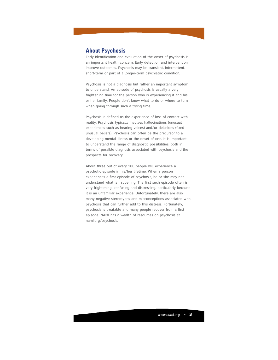# **About Psychosis**

Early identification and evaluation of the onset of psychosis is an important health concern. Early detection and intervention improve outcomes. Psychosis may be transient, intermittent, short-term or part of a longer-term psychiatric condition.

Psychosis is not a diagnosis but rather an important symptom to understand. An episode of psychosis is usually a very frightening time for the person who is experiencing it and his or her family. People don't know what to do or where to turn when going through such a trying time.

Psychosis is defined as the experience of loss of contact with reality. Psychosis typically involves hallucinations (unusual experiences such as hearing voices) and/or delusions (fixed unusual beliefs). Psychosis can often be the precursor to a developing mental illness or the onset of one. It is important to understand the range of diagnostic possibilities, both in terms of possible diagnosis associated with psychosis and the prospects for recovery.

About three out of every 100 people will experience a psychotic episode in his/her lifetime. When a person experiences a first episode of psychosis, he or she may not understand what is happening. The first such episode often is very frightening, confusing and distressing, particularly because it is an unfamiliar experience. Unfortunately, there are also many negative stereotypes and misconceptions associated with psychosis that can further add to this distress. Fortunately, psychosis is treatable and many people recover from a first episode. NAMI has a wealth of resources on psychosis at nami.org/psychosis.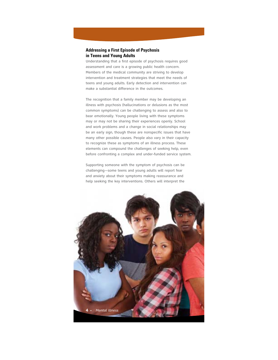## **Addressing a First Episode of Psychosis in Teens and Young Adults**

Understanding that a first episode of psychosis requires good assessment and care is a growing public health concern. Members of the medical community are striving to develop intervention and treatment strategies that meet the needs of teens and young adults. Early detection and intervention can make a substantial difference in the outcomes.

The recognition that a family member may be developing an illness with psychosis (hallucinations or delusions as the most common symptoms) can be challenging to assess and also to bear emotionally. Young people living with these symptoms may or may not be sharing their experiences openly. School and work problems and a change in social relationships may be an early sign, though these are nonspecific issues that have many other possible causes. People also vary in their capacity to recognize these as symptoms of an illness process. These elements can compound the challenges of seeking help, even before confronting a complex and under-funded service system.

Supporting someone with the symptom of psychosis can be challenging—some teens and young adults will report fear and anxiety about their symptoms making reassurance and help seeking the key interventions. Others will interpret the

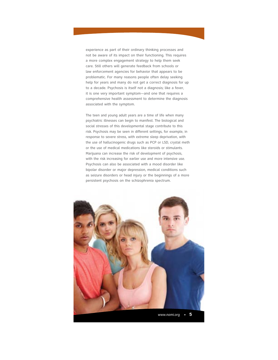experience as part of their ordinary thinking processes and not be aware of its impact on their functioning. This requires a more complex engagement strategy to help them seek care. Still others will generate feedback from schools or law enforcement agencies for behavior that appears to be problematic. For many reasons people often delay seeking help for years and many do not get a correct diagnosis for up to a decade. Psychosis is itself not a diagnosis; like a fever, it is one very important symptom—and one that requires a comprehensive health assessment to determine the diagnosis associated with the symptom.

The teen and young adult years are a time of life when many psychiatric illnesses can begin to manifest. The biological and social stresses of this developmental stage contribute to this risk. Psychosis may be seen in different settings, for example, in response to severe stress, with extreme sleep deprivation, with the use of hallucinogenic drugs such as PCP or LSD, crystal meth or the use of medical medications like steroids or stimulants. Marijuana can increase the risk of development of psychosis, with the risk increasing for earlier use and more intensive use. Psychosis can also be associated with a mood disorder like bipolar disorder or major depression, medical conditions such as seizure disorders or head injury or the beginnings of a more persistent psychosis on the schizophrenia spectrum.

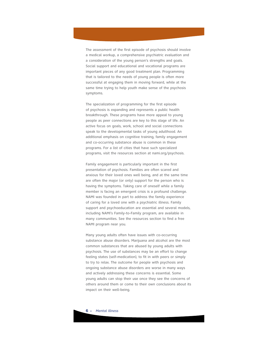The assessment of the first episode of psychosis should involve a medical workup, a comprehensive psychiatric evaluation and a consideration of the young person's strengths and goals. Social support and educational and vocational programs are important pieces of any good treatment plan. Programming that is tailored to the needs of young people is often more successful at engaging them in moving forward, while at the same time trying to help youth make sense of the psychosis symptoms.

The specialization of programming for the first episode of psychosis is expanding and represents a public health breakthrough. These programs have more appeal to young people as peer connections are key to this stage of life. An active focus on goals, work, school and social connections speak to the developmental tasks of young adulthood. An additional emphasis on cognitive training, family engagement and co-occurring substance abuse is common in these programs. For a list of cities that have such specialized programs, visit the resources section at nami.org/psychosis.

Family engagement is particularly important in the first presentation of psychosis. Families are often scared and anxious for their loved ones well being, and at the same time are often the major (or only) support for the person who is having the symptoms. Taking care of oneself while a family member is facing an emergent crisis is a profound challenge. NAMI was founded in part to address the family experience of caring for a loved one with a psychiatric illness. Family support and psychoeducation are essential and several models, including NAMI's Family-to-Family program, are available in many communities. See the resources section to find a free NAMI program near you.

Many young adults often have issues with co-occurring substance abuse disorders. Marijuana and alcohol are the most common substances that are abused by young adults with psychosis. The use of substances may be an effort to change feeling states (self-medication), to fit in with peers or simply to try to relax. The outcome for people with psychosis and ongoing substance abuse disorders are worse in many ways and actively addressing these concerns is essential. Some young adults can stop their use once they see the concerns of others around them or come to their own conclusions about its impact on their well-being.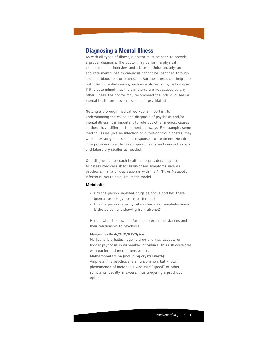# **Diagnosing a Mental Illness**

As with all types of illness, a doctor must be seen to provide a proper diagnosis. The doctor may perform a physical examination, an interview and lab tests. Unfortunately, an accurate mental health diagnosis cannot be identified through a simple blood test or brain scan. But these tests can help rule out other potential causes, such as a stroke or thyroid disease. If it is determined that the symptoms are not caused by any other illness, the doctor may recommend the individual sees a mental health professional such as a psychiatrist.

Getting a thorough medical workup is important to understanding the cause and diagnosis of psychosis and/or mental illness. It is important to rule out other medical causes as these have different treatment pathways. For example, some medical issues (like an infection or out-of-control diabetes) may worsen existing illnesses and responses to treatment. Health care providers need to take a good history and conduct exams and laboratory studies as needed.

One diagnostic approach health care providers may use to assess medical risk for brain-based symptoms such as psychosis, mania or depression is with the MINT, or Metabolic, Infectious, Neurologic, Traumatic model:

## **Metabolic**

- Has the person ingested drugs as above and has there been a toxicology screen performed?
- Has the person recently taken steroids or amphetamines? Is the person withdrawing from alcohol?

Here is what is known so far about certain substances and their relationship to psychosis:

## **Marijuana/Hash/THC/K2/Spice**

Marijuana is a hallucinogenic drug and may activate or trigger psychosis in vulnerable individuals. This risk correlates with earlier and more intensive use.

#### **Methamphetamine (including crystal meth):**

Amphetamine psychosis is an uncommon, but known, phenomenon of individuals who take "speed" or other stimulants, usually in excess, thus triggering a psychotic episode.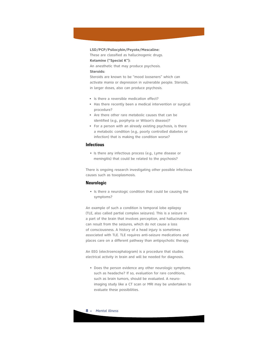**LSD/PCP/Psilocybin/Peyote/Mescaline:** These are classified as hallucinogenic drugs. **Ketamine ("Special K"):** An anesthetic that may produce psychosis. **Steroids:** Steroids are known to be "mood looseners" which can

activate mania or depression in vulnerable people. Steroids, in larger doses, also can produce psychosis.

- Is there a reversible medication effect?
- Has there recently been a medical intervention or surgical procedure?
- Are there other rare metabolic causes that can be identified (*e.g.,* porphyria or Wilson's disease)?
- For a person with an already existing psychosis, is there a metabolic condition (*e.g.,* poorly controlled diabetes or infection) that is making the condition worse?

## **Infectious**

• Is there any infectious process (e.g., Lyme disease or meningitis) that could be related to the psychosis?

There is ongoing research investigating other possible infectious causes such as toxoplasmosis.

## **Neurologic**

• Is there a neurologic condition that could be causing the symptoms?

An example of such a condition is temporal lobe epilepsy (TLE, also called partial complex seizures). This is a seizure in a part of the brain that involves perception, and hallucinations can result from the seizures, which do not cause a loss of consciousness. A history of a head injury is sometimes associated with TLE. TLE requires anti-seizure medications and places care on a different pathway than antipsychotic therapy.

An EEG (electroencephalogram) is a procedure that studies electrical activity in brain and will be needed for diagnosis.

• Does the person evidence any other neurologic symptoms such as headache? If so, evaluation for rare conditions, such as brain tumors, should be evaluated. A neuroimaging study like a CT scan or MRI may be undertaken to evaluate these possibilities.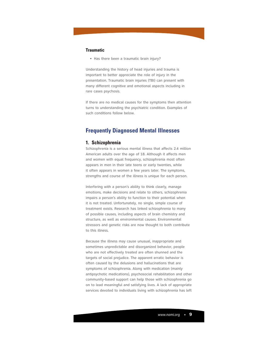## **Traumatic**

• Has there been a traumatic brain injury?

Understanding the history of head injuries and trauma is important to better appreciate the role of injury in the presentation. Traumatic brain injuries (TBI) can present with many different cognitive and emotional aspects including in rare cases psychosis.

If there are no medical causes for the symptoms then attention turns to understanding the psychiatric condition. Examples of such conditions follow below.

# **Frequently Diagnosed Mental Illnesses**

## **1. Schizophrenia**

Schizophrenia is a serious mental illness that affects 2.4 million American adults over the age of 18. Although it affects men and women with equal frequency, schizophrenia most often appears in men in their late teens or early twenties, while it often appears in women a few years later. The symptoms, strengths and course of the illness is unique for each person.

Interfering with a person's ability to think clearly, manage emotions, make decisions and relate to others, schizophrenia impairs a person's ability to function to their potential when it is not treated. Unfortunately, no single, simple course of treatment exists. Research has linked schizophrenia to many of possible causes, including aspects of brain chemistry and structure, as well as environmental causes. Environmental stressors and genetic risks are now thought to both contribute to this illness.

Because the illness may cause unusual, inappropriate and sometimes unpredictable and disorganized behavior, people who are not effectively treated are often shunned and the targets of social prejudice. The apparent erratic behavior is often caused by the delusions and hallucinations that are symptoms of schizophrenia. Along with medication (mainly antipsychotic medications), psychosocial rehabilitation and other community-based support can help those with schizophrenia go on to lead meaningful and satisfying lives. A lack of appropriate services devoted to individuals living with schizophrenia has left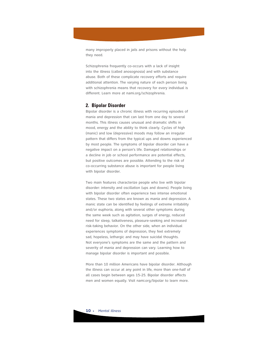many improperly placed in jails and prisons without the help they need.

Schizophrenia frequently co-occurs with a lack of insight into the illness (called anosognosia) and with substance abuse. Both of these complicate recovery efforts and require additional attention. The varying nature of each person living with schizophrenia means that recovery for every individual is different. Learn more at nami.org/schizophrenia.

## **2. Bipolar Disorder**

Bipolar disorder is a chronic illness with recurring episodes of mania and depression that can last from one day to several months. This illness causes unusual and dramatic shifts in mood, energy and the ability to think clearly. Cycles of high (manic) and low (depressive) moods may follow an irregular pattern that differs from the typical ups and downs experienced by most people. The symptoms of bipolar disorder can have a negative impact on a person's life. Damaged relationships or a decline in job or school performance are potential effects, but positive outcomes are possible. Attending to the risk of co-occurring substance abuse is important for people living with bipolar disorder.

Two main features characterize people who live with bipolar disorder: intensity and oscillation (ups and downs). People living with bipolar disorder often experience two intense emotional states. These two states are known as mania and depression. A manic state can be identified by feelings of extreme irritability and/or euphoria, along with several other symptoms during the same week such as agitation, surges of energy, reduced need for sleep, talkativeness, pleasure-seeking and increased risk-taking behavior. On the other side, when an individual experiences symptoms of depression, they feel extremely sad, hopeless, lethargic and may have suicidal thoughts. Not everyone's symptoms are the same and the pattern and severity of mania and depression can vary. Learning how to manage bipolar disorder is important and possible.

More than 10 million Americans have bipolar disorder. Although the illness can occur at any point in life, more than one-half of all cases begin between ages 15-25. Bipolar disorder affects men and women equally. Visit nami.org/bipolar to learn more.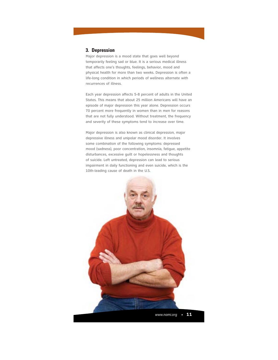## **3. Depression**

Major depression is a mood state that goes well beyond temporarily feeling sad or blue. It is a serious medical illness that affects one's thoughts, feelings, behavior, mood and physical health for more than two weeks. Depression is often a life-long condition in which periods of wellness alternate with recurrences of illness.

Each year depression affects 5-8 percent of adults in the United States. This means that about 25 million Americans will have an episode of major depression this year alone. Depression occurs 70 percent more frequently in women than in men for reasons that are not fully understood. Without treatment, the frequency and severity of these symptoms tend to increase over time.

Major depression is also known as clinical depression, major depressive illness and unipolar mood disorder. It involves some combination of the following symptoms: depressed mood (sadness), poor concentration, insomnia, fatigue, appetite disturbances, excessive guilt or hopelessness and thoughts of suicide. Left untreated, depression can lead to serious impairment in daily functioning and even suicide, which is the 10th-leading cause of death in the U.S.

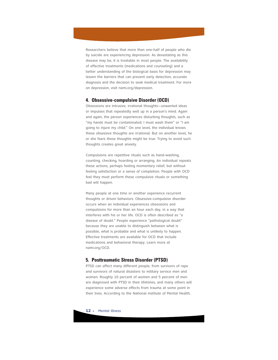Researchers believe that more than one-half of people who die by suicide are experiencing depression. As devastating as this disease may be, it is treatable in most people. The availability of effective treatments (medications and counseling) and a better understanding of the biological basis for depression may lessen the barriers that can prevent early detection, accurate diagnosis and the decision to seek medical treatment. For more on depression, visit nami.org/depression.

## **4. Obsessive-compulsive Disorder (OCD)**

Obsessions are intrusive, irrational thoughts—unwanted ideas or impulses that repeatedly well up in a person's mind. Again and again, the person experiences disturbing thoughts, such as "my hands must be contaminated; I must wash them" or "I am going to injure my child." On one level, the individual knows these obsessive thoughts are irrational. But on another level, he or she fears these thoughts might be true. Trying to avoid such thoughts creates great anxiety.

Compulsions are repetitive rituals such as hand-washing, counting, checking, hoarding or arranging. An individual repeats these actions, perhaps feeling momentary relief, but without feeling satisfaction or a sense of completion. People with OCD feel they must perform these compulsive rituals or something bad will happen.

Many people at one time or another experience recurrent thoughts or driven behaviors. Obsessive-compulsive disorder occurs when an individual experiences obsessions and compulsions for more than an hour each day, in a way that interferes with his or her life. OCD is often described as "a disease of doubt." People experience "pathological doubt" because they are unable to distinguish between what is possible, what is probable and what is unlikely to happen. Effective treatments are available for OCD that include medications and behavioral therapy. Learn more at nami.org/OCD.

## **5. Posttraumatic Stress Disorder (PTSD)**

PTSD can affect many different people, from survivors of rape and survivors of natural disasters to military service men and women. Roughly 10 percent of women and 5 percent of men are diagnosed with PTSD in their lifetimes, and many others will experience some adverse effects from trauma at some point in their lives. According to the National institute of Mental Health,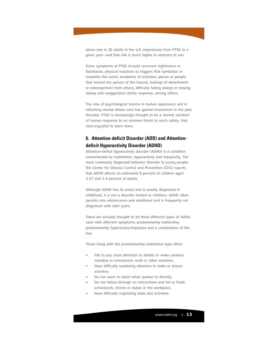about one in 30 adults in the U.S. experiences from PTSD in a given year—and that risk is much higher in veterans of war.

Some symptoms of PTSD include recurrent nightmares or flashbacks, physical reactions to triggers that symbolize or resemble the event, avoidance of activities, places or people that remind the person of the trauma, feelings of detachment or estrangement from others, difficulty falling asleep or staying asleep and exaggerated startle response, among others.

The role of psychological trauma in human experience and in informing mental illness care has gained momentum in the past decades. PTSD is increasingly thought to be a normal variation of human response to an extreme threat to one's safety. Visit nami.org/ptsd to learn more.

# **6. Attention-deficit Disorder (ADD) and Attentiondeficit Hyperactivity Disorder (ADHD)**

Attention-deficit hyperactivity disorder (ADHD) is a condition characterized by inattention, hyperactivity and impulsivity. The most commonly diagnosed behavior disorder in young people, the Center for Disease Control and Prevention (CDC) reports that ADHD affects an estimated 9 percent of children aged 3-17 and 2-4 percent of adults.

Although ADHD has its onset and is usually diagnosed in childhood, it is not a disorder limited to children—ADHD often persists into adolescence and adulthood and is frequently not diagnosed until later years.

There are actually thought to be three different types of ADHD, each with different symptoms: predominantly inattentive, predominantly hyperactive/impulsive and a combination of the two.

Those living with the predominantly inattentive type often:

- Fail to pay close attention to details or make careless mistakes in schoolwork, work or other activities.
- Have difficulty sustaining attention to tasks or leisure activities.
- Do not seem to listen when spoken to directly.
- Do not follow through on instructions and fail to finish schoolwork, chores or duties in the workplace.
- Have difficulty organizing tasks and activities.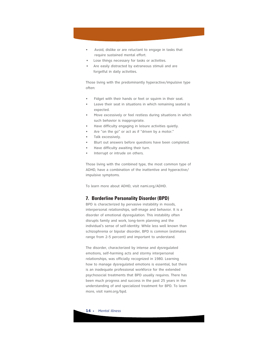- Avoid, dislike or are reluctant to engage in tasks that require sustained mental effort.
- Lose things necessary for tasks or activities.
- Are easily distracted by extraneous stimuli and are forgetful in daily activities.

Those living with the predominantly hyperactive/impulsive type often:

- Fidget with their hands or feet or squirm in their seat.
- Leave their seat in situations in which remaining seated is expected.
- Move excessively or feel restless during situations in which such behavior is inappropriate.
- Have difficulty engaging in leisure activities quietly.
- Are "on the go" or act as if "driven by a motor."
- Talk excessively.
- Blurt out answers before questions have been completed.
- Have difficulty awaiting their turn.
- Interrupt or intrude on others.

Those living with the combined type, the most common type of ADHD, have a combination of the inattentive and hyperactive/ impulsive symptoms.

To learn more about ADHD, visit nami.org/ADHD.

## **7. Borderline Personality Disorder (BPD)**

BPD is characterized by pervasive instability in moods, interpersonal relationships, self-image and behavior. It is a disorder of emotional dysregulation. This instability often disrupts family and work, long-term planning and the individual's sense of self-identity. While less well known than schizophrenia or bipolar disorder, BPD is common (estimates range from 2-5 percent) and important to understand.

The disorder, characterized by intense and dysregulated emotions, self-harming acts and stormy interpersonal relationships, was officially recognized in 1980. Learning how to manage dysregulated emotions is essential, but there is an inadequate professional workforce for the extended psychosocial treatments that BPD usually requires. There has been much progress and success in the past 25 years in the understanding of and specialized treatment for BPD. To learn more, visit nami.org/bpd.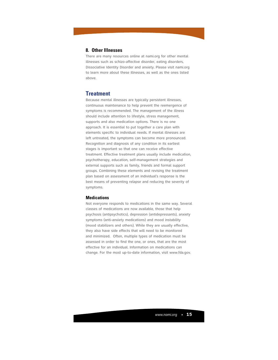## **8. Other Illnesses**

There are many resources online at nami.org for other mental illnesses such as schizo-affective disorder, eating disorders, Dissociative Identity Disorder and anxiety. Please visit nami.org to learn more about these illnesses, as well as the ones listed above.

## **Treatment**

Because mental illnesses are typically persistent illnesses, continuous maintenance to help prevent the reemergence of symptoms is recommended. The management of the illness should include attention to lifestyle, stress management, supports and also medication options. There is no one approach. It is essential to put together a care plan with elements specific to individual needs. If mental illnesses are left untreated, the symptoms can become more pronounced. Recognition and diagnosis of any condition in its earliest stages is important so that one can receive effective treatment. Effective treatment plans usually include medication, psychotherapy, education, self-management strategies and external supports such as family, friends and formal support groups. Combining these elements and revising the treatment plan based on assessment of an individual's response is the best means of preventing relapse and reducing the severity of symptoms.

## **Medications**

Not everyone responds to medications in the same way. Several classes of medications are now available, those that help psychosis (antipsychotics), depression (antidepressants), anxiety symptoms (anti-anxiety medications) and mood instability (mood stabilizers and others). While they are usually effective, they also have side effects that will need to be monitored and minimized. Often, multiple types of medication must be assessed in order to find the one, or ones, that are the most effective for an individual. Information on medications can change. For the most up-to-date information, visit www.fda.gov.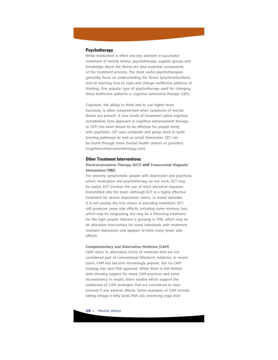## **Psychotherapy**

While medication is often one key element in successful treatment of mental illness, psychotherapy, support groups and knowledge about the illness are also essential components of the treatment process. The most useful psychotherapies generally focus on understanding the illness (psychoeducation), and on learning how to cope and change ineffective patterns of thinking. One popular type of psychotherapy used for changing these ineffective patterns is cognitive behavioral therapy (CBT).

Cognition, the ability to think and to use higher brain functions, is often compromised when symptoms of mental illness are present. A new mode of treatment called cognitive remediation, (one approach is cognitive enhancement therapy, or CET) has been shown to be effective for people living with psychosis. CET uses computer and group work to build learning pathways as well as social interaction. CET can be found through some mental health centers or providers (cognitiveenhancementtherapy.com).

#### **Other Treatment Interventions**

## **Electroconvulsive Therapy (ECT) and Transcranial Magnetic Stimulation (TMS)**

For severely symptomatic people with depression and psychosis where medication and psychotherapy do not work, ECT may be useful. ECT involves the use of short electrical impulses transmitted into the brain. Although ECT is a highly effective treatment for severe depression, manic, or mixed episodes, it is not usually the first choice in providing treatment. ECT still produces some side effects, including some memory loss, which may be longlasting, but may be a lifesaving treatment for the right people. Interest is growing in TMS, which may be an alterative intervention for some individuals with treatment resistant depression and appears to have many fewer side effects.

#### **Complementary and Alternative Medicine (CAM)**

CAM refers to alternative forms of medicine that are not considered part of conventional (Western) medicine. In recent years, CAM has become increasingly popular, but no CAM strategy has won FDA approval. While there is still limited data showing support for many CAM practices and some inconsistency in results, there studies which support the usefulness of CAM strategies that are considered to have minimal if any adverse effects. Some examples of CAM include taking omega-3 fatty acids (fish oil), practicing yoga and/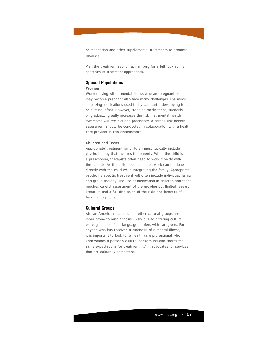or meditation and other supplemental treatments to promote recovery.

Visit the treatment section at nami.org for a full look at the spectrum of treatment approaches.

## **Special Populations**

## **Women**

Women living with a mental illness who are pregnant or may become pregnant also face many challenges. The mood stabilizing medications used today can hurt a developing fetus or nursing infant. However, stopping medications, suddenly or gradually, greatly increases the risk that mental health symptoms will recur during pregnancy. A careful risk benefit assessment should be conducted in collaboration with a health care provider in this circumstance.

## **Children and Teens**

Appropriate treatment for children must typically include psychotherapy that involves the parents. When the child is a preschooler, therapists often need to work directly with the parents. As the child becomes older, work can be done directly with the child while integrating the family. Appropriate psychotherapeutic treatment will often include individual, family and group therapy. The use of medication in children and teens requires careful assessment of the growing but limited research literature and a full discussion of the risks and benefits of treatment options.

## **Cultural Groups**

African Americans, Latinos and other cultural groups are more prone to misdiagnosis, likely due to differing cultural or religious beliefs or language barriers with caregivers. For anyone who has received a diagnosis of a mental illness, it is important to look for a health care professional who understands a person's cultural background and shares the same expectations for treatment. NAMI advocates for services that are culturally competent.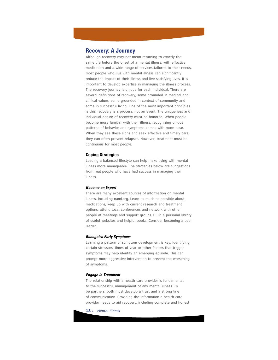# **Recovery: A Journey**

Although recovery may not mean returning to exactly the same life before the onset of a mental illness, with effective medication and a wide range of services tailored to their needs, most people who live with mental illness can significantly reduce the impact of their illness and live satisfying lives. It is important to develop expertise in managing the illness process. The recovery journey is unique for each individual. There are several definitions of recovery; some grounded in medical and clinical values, some grounded in context of community and some in successful living. One of the most important principles is this: recovery is a process, not an event. The uniqueness and individual nature of recovery must be honored. When people become more familiar with their illness, recognizing unique patterns of behavior and symptoms comes with more ease. When they see these signs and seek effective and timely care, they can often prevent relapses. However, treatment must be continuous for most people.

## **Coping Strategies**

Leading a balanced lifestyle can help make living with mental illness more manageable. The strategies below are suggestions from real people who have had success in managing their illness.

## **Become an Expert**

There are many excellent sources of information on mental illness, including nami.org. Learn as much as possible about medications, keep up with current research and treatment options, attend local conferences and network with other people at meetings and support groups. Build a personal library of useful websites and helpful books. Consider becoming a peer leader.

## **Recognize Early Symptoms**

Learning a pattern of symptom development is key. Identifying certain stressors, times of year or other factors that trigger symptoms may help identify an emerging episode. This can prompt more aggressive intervention to prevent the worsening of symptoms.

## **Engage in Treatment**

The relationship with a health care provider is fundamental to the successful management of any mental illness. To be partners, both must develop a trust and a strong line of communication. Providing the information a health care provider needs to aid recovery, including complete and honest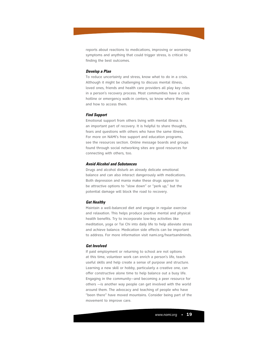reports about reactions to medications, improving or worsening symptoms and anything that could trigger stress, is critical to finding the best outcomes.

## **Develop a Plan**

To reduce uncertainty and stress, know what to do in a crisis. Although it might be challenging to discuss mental illness, loved ones, friends and health care providers all play key roles in a person's recovery process. Most communities have a crisis hotline or emergency walk-in centers, so know where they are and how to access them.

### **Find Support**

Emotional support from others living with mental illness is an important part of recovery. It is helpful to share thoughts, fears and questions with others who have the same illness. For more on NAMI's free support and education programs, see the resources section. Online message boards and groups found through social networking sites are good resources for connecting with others, too.

#### **Avoid Alcohol and Substances**

Drugs and alcohol disturb an already delicate emotional balance and can also interact dangerously with medications. Both depression and mania make these drugs appear to be attractive options to "slow down" or "perk up," but the potential damage will block the road to recovery.

## **Get Healthy**

Maintain a well-balanced diet and engage in regular exercise and relaxation. This helps produce positive mental and physical health benefits. Try to incorporate low-key activities like meditation, yoga or Tai Chi into daily life to help alleviate stress and achieve balance. Medication side effects can be important to address. For more information visit nami.org/heartsandminds.

#### **Get Involved**

If paid employment or returning to school are not options at this time, volunteer work can enrich a person's life, teach useful skills and help create a sense of purpose and structure. Learning a new skill or hobby, particularly a creative one, can offer constructive alone time to help balance out a busy life. Engaging in the community—and becoming a peer resource for others —is another way people can get involved with the world around them. The advocacy and teaching of people who have "been there" have moved mountains. Consider being part of the movement to improve care.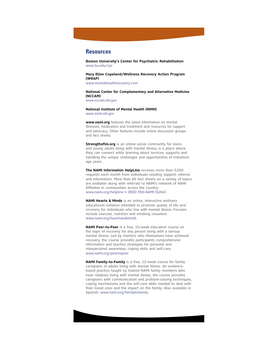## **Resources**

**Boston University's Center for Psychiatric Rehabilitation** www.bu.edu/cpr

**Mary Ellen Copeland/Wellness Recovery Action Program (WRAP)** www.mentalhealthrecovery.com

**National Center for Complementary and Alternative Medicine (NCCAM)** www.nccam.nih.gov

**National Institute of Mental Health (NIMH)** www.nimh.nih.gov

**www.nami.org** features the latest information on mental illnesses, medication and treatment and resources for support and advocacy. Other features include online discussion groups and fact sheets.

**StrengthofUs.org** is an online social community for teens and young adults living with mental illness, is a place where they can connect while learning about services, supports and handling the unique challenges and opportunities of transitionage years.

**The NAMI Information HelpLine** receives more than 5,000 requests each month from individuals needing support, referral and information. More than 60 fact sheets on a variety of topics are available along with referrals to NAMI's network of NAMI Affiliates in communities across the country. www.nami.org/helpline • (800) 950-NAMI (6264)

**NAMI Hearts & Minds** is an online, interactive wellness educational initiative intended to promote quality of life and recovery for individuals who live with mental illness. Focuses include exercise, nutrition and smoking cessation. www.nami.org/heartsandminds

**NAMI Peer-to-Peer** is a free, 10-week education course on the topic of recovery for any person living with a serious mental illness. Led by mentors who themselves have achieved recovery, the course provides participants comprehensive information and teaches strategies for personal and interpersonal awareness, coping skills and self-care. www.nami.org/peertopeer

**NAMI Family-to-Family** is a free, 12-week course for family caregivers of adults living with mental illness. An evidencebased practice taught by trained NAMI family members who have relatives living with mental illness, the course provides caregivers with communication and problem-solving techniques, coping mechanisms and the self-care skills needed to deal with their loved ones and the impact on the family. Also available in Spanish. www.nami.org/familytofamily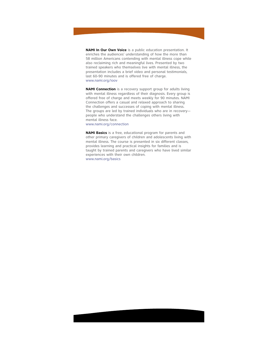**NAMI In Our Own Voice** is a public education presentation. It enriches the audiences' understanding of how the more than 58 million Americans contending with mental illness cope while also reclaiming rich and meaningful lives. Presented by two trained speakers who themselves live with mental illness, the presentation includes a brief video and personal testimonials, last 60-90 minutes and is offered free of charge. www.nami.org/ioov

**NAMI Connection** is a recovery support group for adults living with mental illness regardless of their diagnosis. Every group is offered free of charge and meets weekly for 90 minutes. NAMI Connection offers a casual and relaxed approach to sharing the challenges and successes of coping with mental illness. The groups are led by trained individuals who are in recovery people who understand the challenges others living with mental illness face. www.nami.org/connection

**NAMI Basics** is a free, educational program for parents and other primary caregivers of children and adolescents living with mental illness. The course is presented in six different classes, provides learning and practical insights for families and is taught by trained parents and caregivers who have lived similar experiences with their own children. www.nami.org/basics